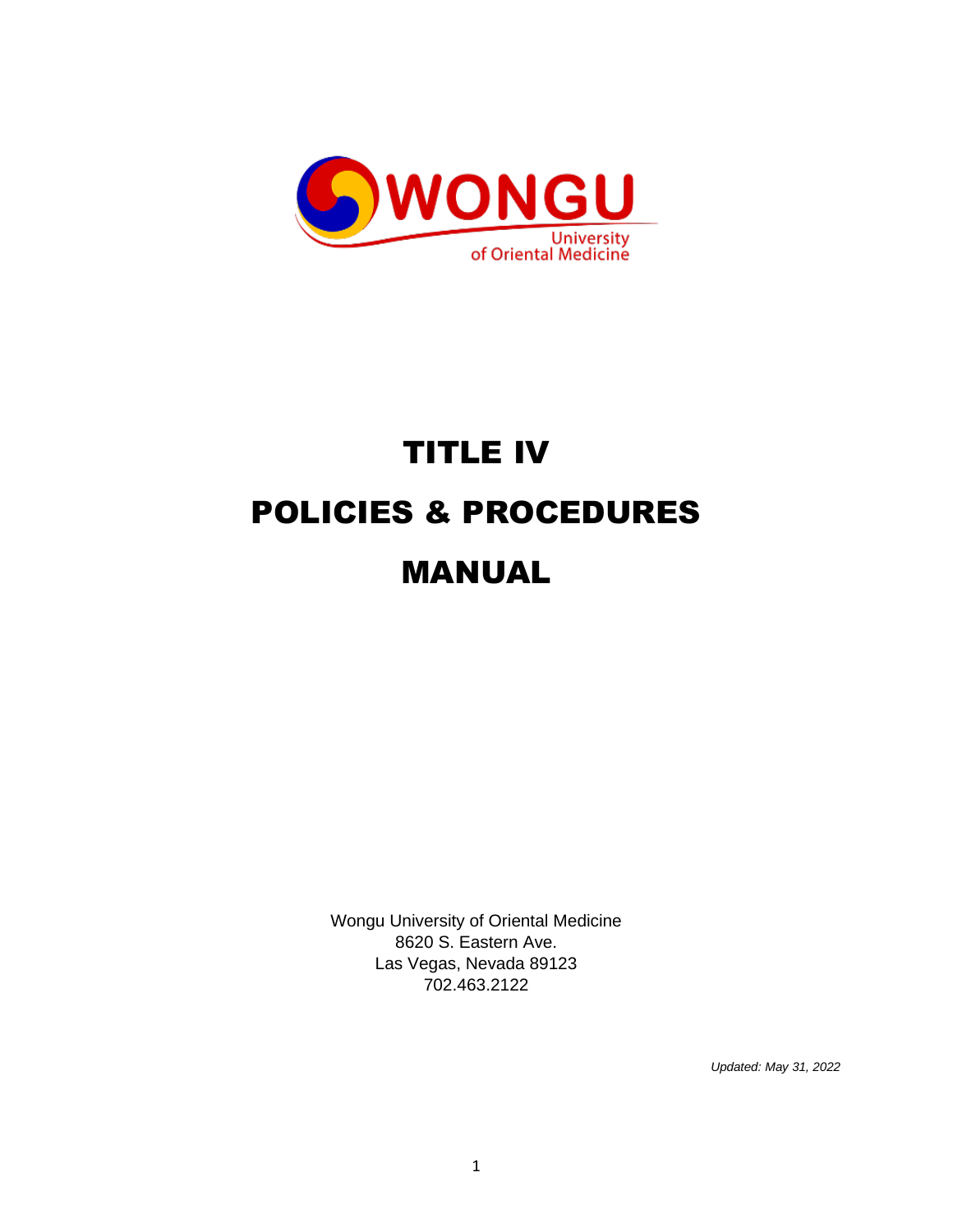

# TITLE IV POLICIES & PROCEDURES MANUAL

Wongu University of Oriental Medicine 8620 S. Eastern Ave. Las Vegas, Nevada 89123 702.463.2122

*Updated: May 31, 2022*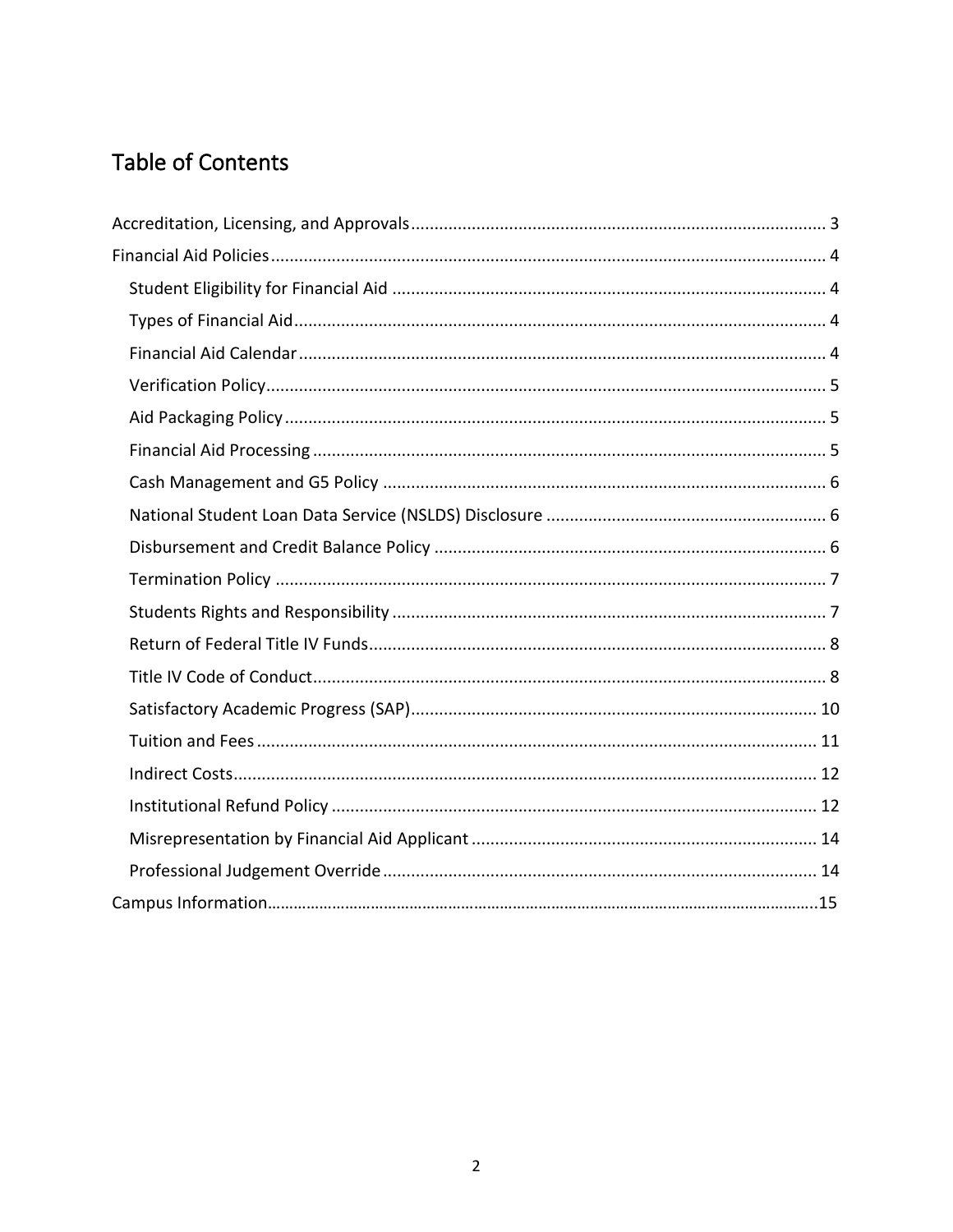### Table of Contents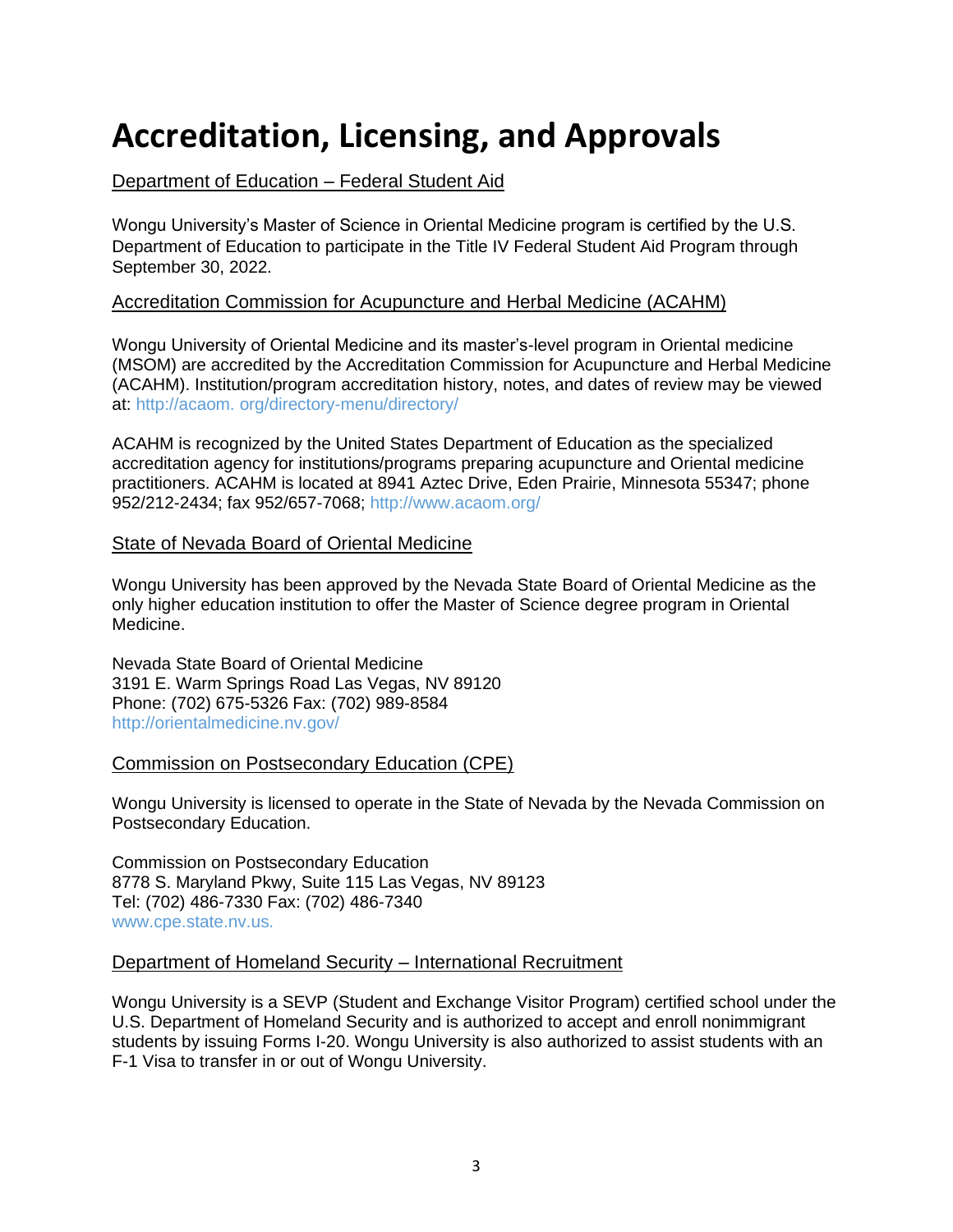## <span id="page-2-0"></span>**Accreditation, Licensing, and Approvals**

#### Department of Education – Federal Student Aid

Wongu University's Master of Science in Oriental Medicine program is certified by the U.S. Department of Education to participate in the Title IV Federal Student Aid Program through September 30, 2022.

#### Accreditation Commission for Acupuncture and Herbal Medicine (ACAHM)

Wongu University of Oriental Medicine and its master's-level program in Oriental medicine (MSOM) are accredited by the Accreditation Commission for Acupuncture and Herbal Medicine (ACAHM). Institution/program accreditation history, notes, and dates of review may be viewed at: http://acaom. org/directory-menu/directory/

ACAHM is recognized by the United States Department of Education as the specialized accreditation agency for institutions/programs preparing acupuncture and Oriental medicine practitioners. ACAHM is located at 8941 Aztec Drive, Eden Prairie, Minnesota 55347; phone 952/212-2434; fax 952/657-7068; http://www.acaom.org/

#### State of Nevada Board of Oriental Medicine

Wongu University has been approved by the Nevada State Board of Oriental Medicine as the only higher education institution to offer the Master of Science degree program in Oriental Medicine.

Nevada State Board of Oriental Medicine 3191 E. Warm Springs Road Las Vegas, NV 89120 Phone: (702) 675-5326 Fax: (702) 989-8584 http://orientalmedicine.nv.gov/

#### Commission on Postsecondary Education (CPE)

Wongu University is licensed to operate in the State of Nevada by the Nevada Commission on Postsecondary Education.

Commission on Postsecondary Education 8778 S. Maryland Pkwy, Suite 115 Las Vegas, NV 89123 Tel: (702) 486-7330 Fax: (702) 486-7340 www.cpe.state.nv.us.

#### Department of Homeland Security – International Recruitment

Wongu University is a SEVP (Student and Exchange Visitor Program) certified school under the U.S. Department of Homeland Security and is authorized to accept and enroll nonimmigrant students by issuing Forms I-20. Wongu University is also authorized to assist students with an F-1 Visa to transfer in or out of Wongu University.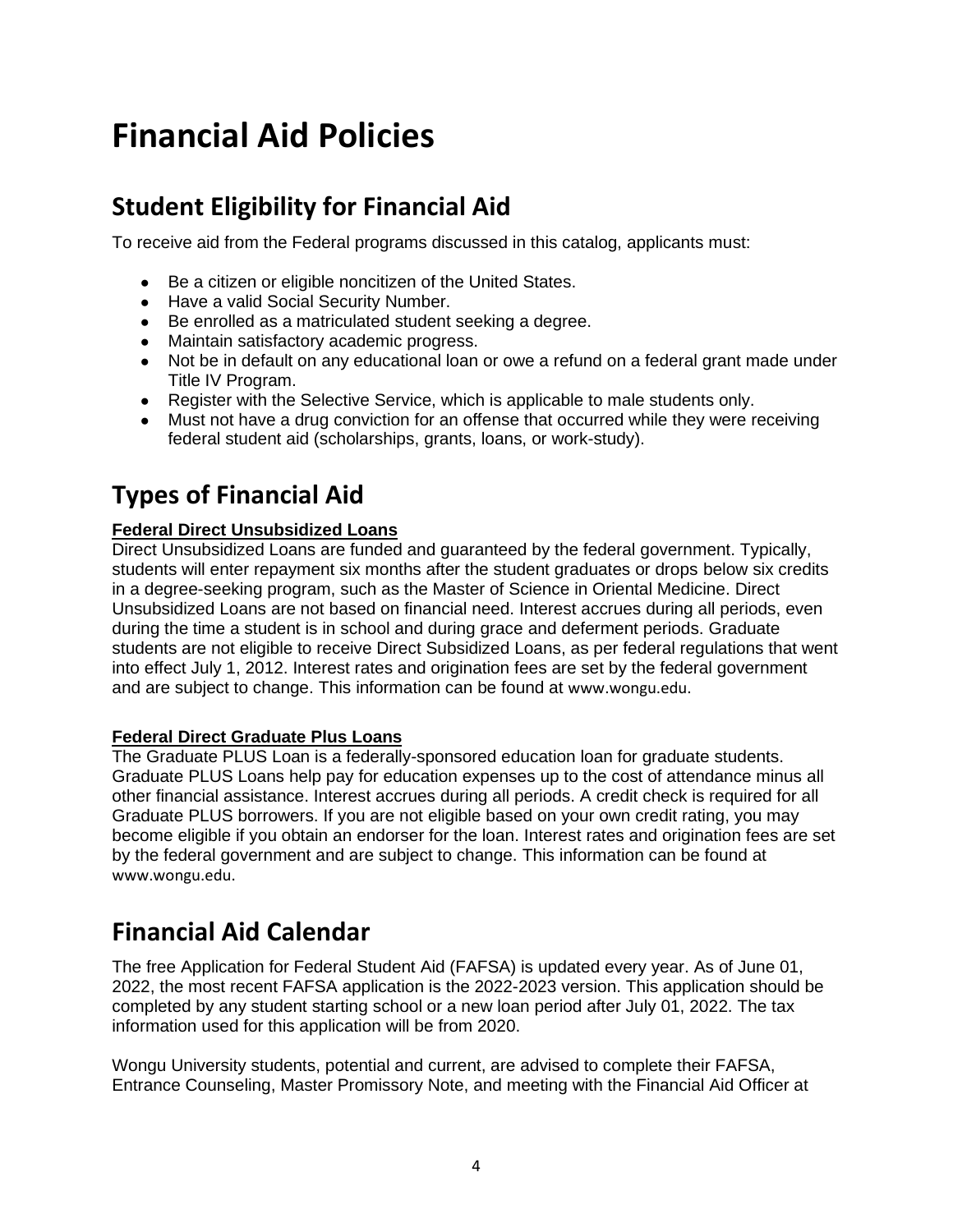## <span id="page-3-0"></span>**Financial Aid Policies**

### <span id="page-3-1"></span>**Student Eligibility for Financial Aid**

To receive aid from the Federal programs discussed in this catalog, applicants must:

- Be a citizen or eligible noncitizen of the United States.
- Have a valid Social Security Number.
- Be enrolled as a matriculated student seeking a degree.
- Maintain satisfactory academic progress.
- Not be in default on any educational loan or owe a refund on a federal grant made under Title IV Program.
- Register with the Selective Service, which is applicable to male students only.
- Must not have a drug conviction for an offense that occurred while they were receiving federal student aid (scholarships, grants, loans, or work-study).

### <span id="page-3-2"></span>**Types of Financial Aid**

#### **Federal Direct Unsubsidized Loans**

Direct Unsubsidized Loans are funded and guaranteed by the federal government. Typically, students will enter repayment six months after the student graduates or drops below six credits in a degree-seeking program, such as the Master of Science in Oriental Medicine. Direct Unsubsidized Loans are not based on financial need. Interest accrues during all periods, even during the time a student is in school and during grace and deferment periods. Graduate students are not eligible to receive Direct Subsidized Loans, as per federal regulations that went into effect July 1, 2012. Interest rates and origination fees are set by the federal government and are subject to change. This information can be found at www.wongu.edu.

#### **Federal Direct Graduate Plus Loans**

The Graduate PLUS Loan is a federally-sponsored education loan for graduate students. Graduate PLUS Loans help pay for education expenses up to the cost of attendance minus all other financial assistance. Interest accrues during all periods. A credit check is required for all Graduate PLUS borrowers. If you are not eligible based on your own credit rating, you may become eligible if you obtain an endorser for the loan. Interest rates and origination fees are set by the federal government and are subject to change. This information can be found at www.wongu.edu.

### <span id="page-3-3"></span>**Financial Aid Calendar**

The free Application for Federal Student Aid (FAFSA) is updated every year. As of June 01, 2022, the most recent FAFSA application is the 2022-2023 version. This application should be completed by any student starting school or a new loan period after July 01, 2022. The tax information used for this application will be from 2020.

Wongu University students, potential and current, are advised to complete their FAFSA, Entrance Counseling, Master Promissory Note, and meeting with the Financial Aid Officer at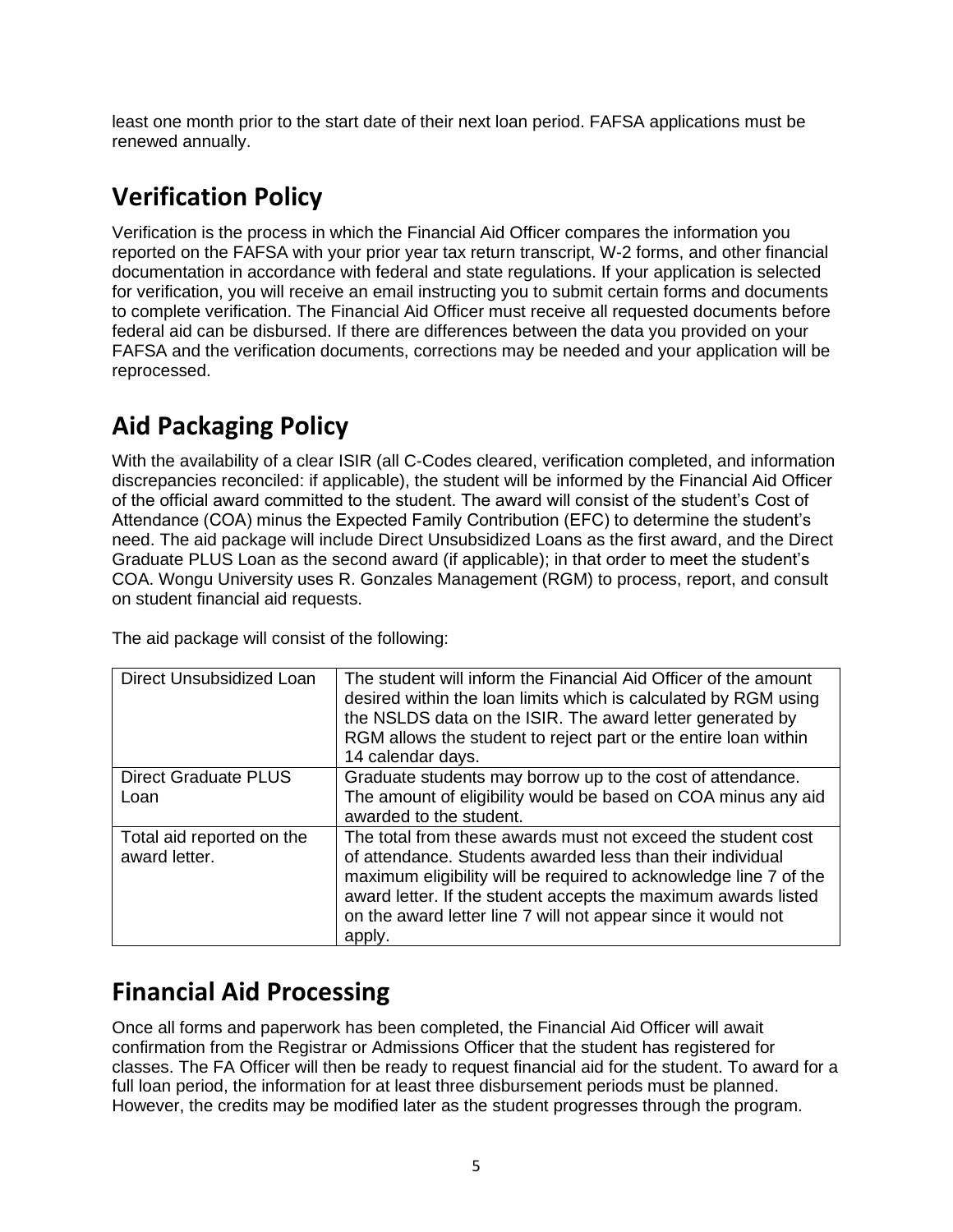least one month prior to the start date of their next loan period. FAFSA applications must be renewed annually.

### <span id="page-4-0"></span>**Verification Policy**

Verification is the process in which the Financial Aid Officer compares the information you reported on the FAFSA with your prior year tax return transcript, W-2 forms, and other financial documentation in accordance with federal and state regulations. If your application is selected for verification, you will receive an email instructing you to submit certain forms and documents to complete verification. The Financial Aid Officer must receive all requested documents before federal aid can be disbursed. If there are differences between the data you provided on your FAFSA and the verification documents, corrections may be needed and your application will be reprocessed.

### <span id="page-4-1"></span>**Aid Packaging Policy**

With the availability of a clear ISIR (all C-Codes cleared, verification completed, and information discrepancies reconciled: if applicable), the student will be informed by the Financial Aid Officer of the official award committed to the student. The award will consist of the student's Cost of Attendance (COA) minus the Expected Family Contribution (EFC) to determine the student's need. The aid package will include Direct Unsubsidized Loans as the first award, and the Direct Graduate PLUS Loan as the second award (if applicable); in that order to meet the student's COA. Wongu University uses R. Gonzales Management (RGM) to process, report, and consult on student financial aid requests.

The aid package will consist of the following:

| Direct Unsubsidized Loan                   | The student will inform the Financial Aid Officer of the amount<br>desired within the loan limits which is calculated by RGM using<br>the NSLDS data on the ISIR. The award letter generated by<br>RGM allows the student to reject part or the entire loan within<br>14 calendar days.                                                      |
|--------------------------------------------|----------------------------------------------------------------------------------------------------------------------------------------------------------------------------------------------------------------------------------------------------------------------------------------------------------------------------------------------|
| <b>Direct Graduate PLUS</b><br>Loan        | Graduate students may borrow up to the cost of attendance.<br>The amount of eligibility would be based on COA minus any aid<br>awarded to the student.                                                                                                                                                                                       |
| Total aid reported on the<br>award letter. | The total from these awards must not exceed the student cost<br>of attendance. Students awarded less than their individual<br>maximum eligibility will be required to acknowledge line 7 of the<br>award letter. If the student accepts the maximum awards listed<br>on the award letter line 7 will not appear since it would not<br>apply. |

### <span id="page-4-2"></span>**Financial Aid Processing**

Once all forms and paperwork has been completed, the Financial Aid Officer will await confirmation from the Registrar or Admissions Officer that the student has registered for classes. The FA Officer will then be ready to request financial aid for the student. To award for a full loan period, the information for at least three disbursement periods must be planned. However, the credits may be modified later as the student progresses through the program.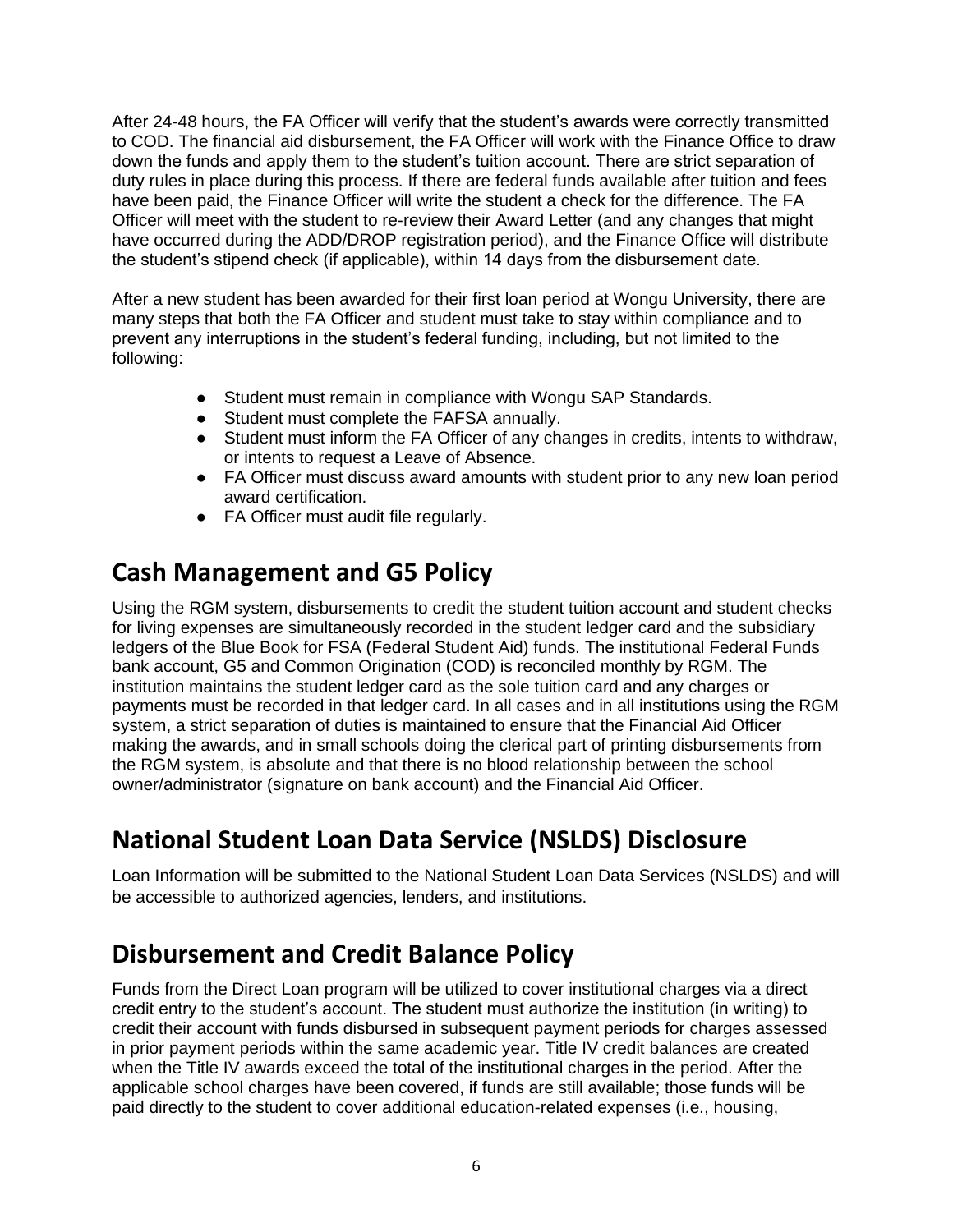After 24-48 hours, the FA Officer will verify that the student's awards were correctly transmitted to COD. The financial aid disbursement, the FA Officer will work with the Finance Office to draw down the funds and apply them to the student's tuition account. There are strict separation of duty rules in place during this process. If there are federal funds available after tuition and fees have been paid, the Finance Officer will write the student a check for the difference. The FA Officer will meet with the student to re-review their Award Letter (and any changes that might have occurred during the ADD/DROP registration period), and the Finance Office will distribute the student's stipend check (if applicable), within 14 days from the disbursement date.

After a new student has been awarded for their first loan period at Wongu University, there are many steps that both the FA Officer and student must take to stay within compliance and to prevent any interruptions in the student's federal funding, including, but not limited to the following:

- Student must remain in compliance with Wongu SAP Standards.
- Student must complete the FAFSA annually.
- Student must inform the FA Officer of any changes in credits, intents to withdraw, or intents to request a Leave of Absence.
- FA Officer must discuss award amounts with student prior to any new loan period award certification.
- FA Officer must audit file regularly.

### <span id="page-5-0"></span>**Cash Management and G5 Policy**

Using the RGM system, disbursements to credit the student tuition account and student checks for living expenses are simultaneously recorded in the student ledger card and the subsidiary ledgers of the Blue Book for FSA (Federal Student Aid) funds. The institutional Federal Funds bank account, G5 and Common Origination (COD) is reconciled monthly by RGM. The institution maintains the student ledger card as the sole tuition card and any charges or payments must be recorded in that ledger card. In all cases and in all institutions using the RGM system, a strict separation of duties is maintained to ensure that the Financial Aid Officer making the awards, and in small schools doing the clerical part of printing disbursements from the RGM system, is absolute and that there is no blood relationship between the school owner/administrator (signature on bank account) and the Financial Aid Officer.

### <span id="page-5-1"></span>**National Student Loan Data Service (NSLDS) Disclosure**

Loan Information will be submitted to the National Student Loan Data Services (NSLDS) and will be accessible to authorized agencies, lenders, and institutions.

### <span id="page-5-2"></span>**Disbursement and Credit Balance Policy**

Funds from the Direct Loan program will be utilized to cover institutional charges via a direct credit entry to the student's account. The student must authorize the institution (in writing) to credit their account with funds disbursed in subsequent payment periods for charges assessed in prior payment periods within the same academic year. Title IV credit balances are created when the Title IV awards exceed the total of the institutional charges in the period. After the applicable school charges have been covered, if funds are still available; those funds will be paid directly to the student to cover additional education-related expenses (i.e., housing,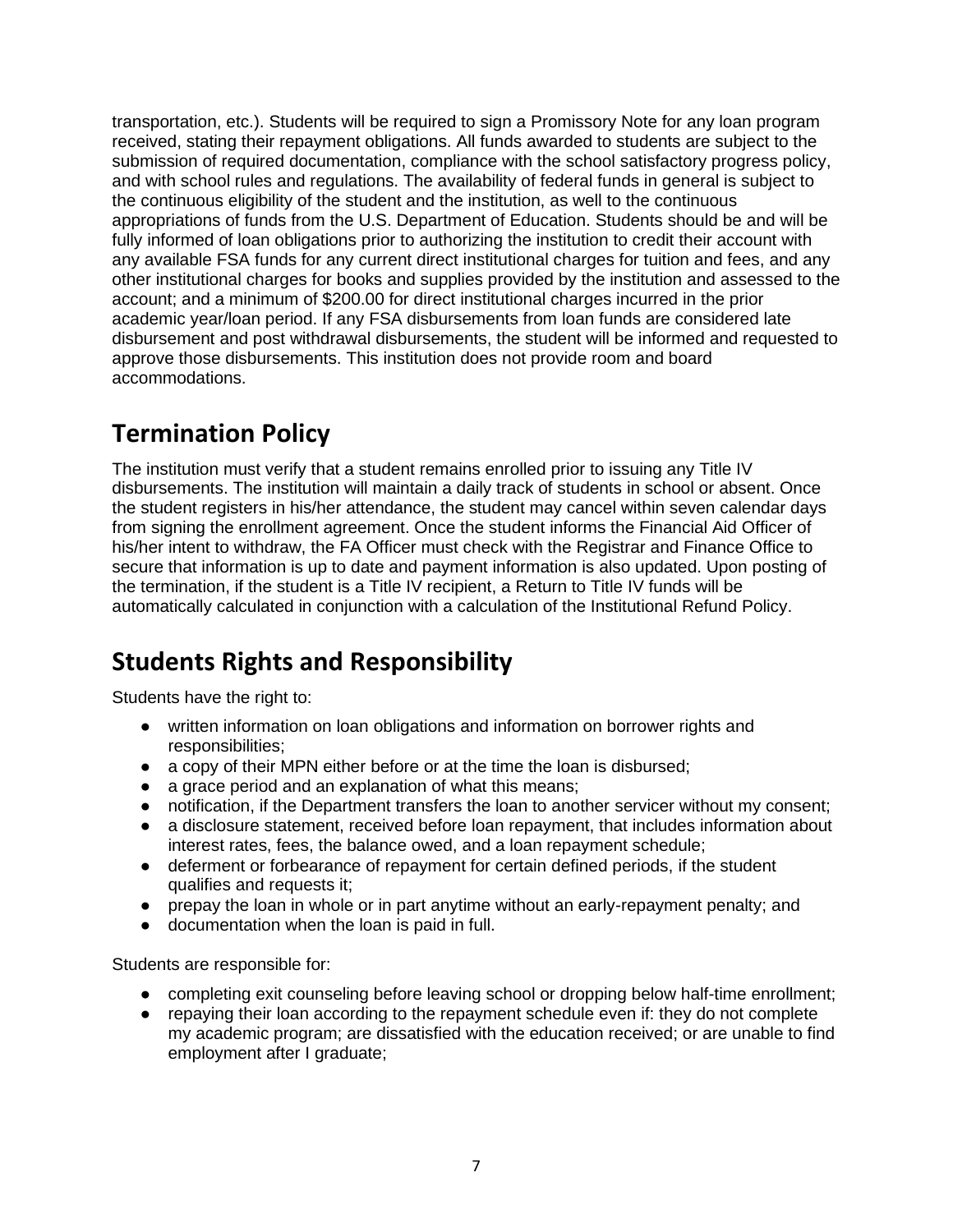transportation, etc.). Students will be required to sign a Promissory Note for any loan program received, stating their repayment obligations. All funds awarded to students are subject to the submission of required documentation, compliance with the school satisfactory progress policy, and with school rules and regulations. The availability of federal funds in general is subject to the continuous eligibility of the student and the institution, as well to the continuous appropriations of funds from the U.S. Department of Education. Students should be and will be fully informed of loan obligations prior to authorizing the institution to credit their account with any available FSA funds for any current direct institutional charges for tuition and fees, and any other institutional charges for books and supplies provided by the institution and assessed to the account; and a minimum of \$200.00 for direct institutional charges incurred in the prior academic year/loan period. If any FSA disbursements from loan funds are considered late disbursement and post withdrawal disbursements, the student will be informed and requested to approve those disbursements. This institution does not provide room and board accommodations.

### <span id="page-6-0"></span>**Termination Policy**

The institution must verify that a student remains enrolled prior to issuing any Title IV disbursements. The institution will maintain a daily track of students in school or absent. Once the student registers in his/her attendance, the student may cancel within seven calendar days from signing the enrollment agreement. Once the student informs the Financial Aid Officer of his/her intent to withdraw, the FA Officer must check with the Registrar and Finance Office to secure that information is up to date and payment information is also updated. Upon posting of the termination, if the student is a Title IV recipient, a Return to Title IV funds will be automatically calculated in conjunction with a calculation of the Institutional Refund Policy.

### <span id="page-6-1"></span>**Students Rights and Responsibility**

Students have the right to:

- written information on loan obligations and information on borrower rights and responsibilities;
- a copy of their MPN either before or at the time the loan is disbursed;
- a grace period and an explanation of what this means;
- notification, if the Department transfers the loan to another servicer without my consent;
- a disclosure statement, received before loan repayment, that includes information about interest rates, fees, the balance owed, and a loan repayment schedule;
- deferment or forbearance of repayment for certain defined periods, if the student qualifies and requests it;
- prepay the loan in whole or in part anytime without an early-repayment penalty; and
- documentation when the loan is paid in full.

Students are responsible for:

- completing exit counseling before leaving school or dropping below half-time enrollment;
- repaying their loan according to the repayment schedule even if: they do not complete my academic program; are dissatisfied with the education received; or are unable to find employment after I graduate;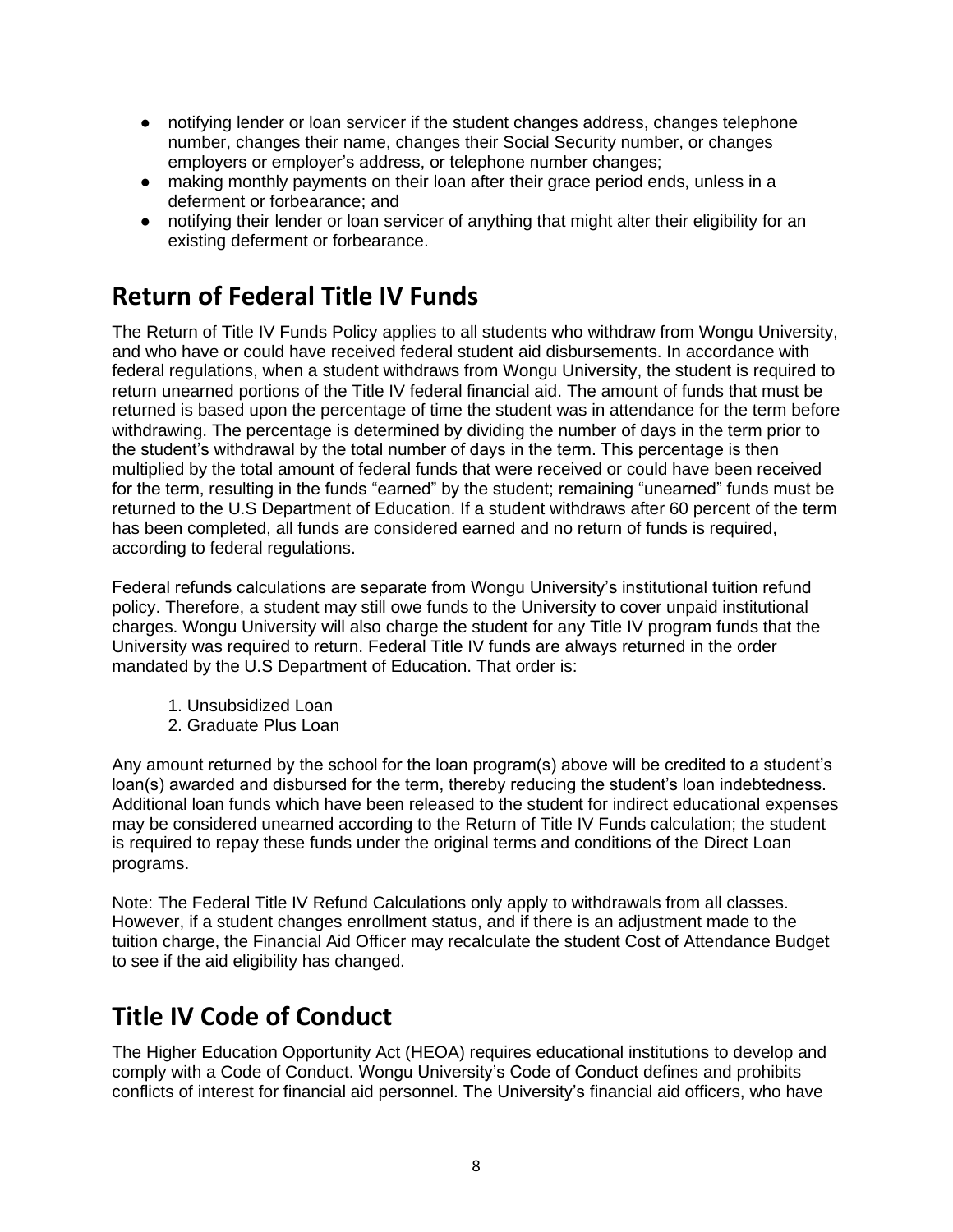- notifying lender or loan servicer if the student changes address, changes telephone number, changes their name, changes their Social Security number, or changes employers or employer's address, or telephone number changes;
- making monthly payments on their loan after their grace period ends, unless in a deferment or forbearance; and
- notifying their lender or loan servicer of anything that might alter their eligibility for an existing deferment or forbearance.

### <span id="page-7-0"></span>**Return of Federal Title IV Funds**

The Return of Title IV Funds Policy applies to all students who withdraw from Wongu University, and who have or could have received federal student aid disbursements. In accordance with federal regulations, when a student withdraws from Wongu University, the student is required to return unearned portions of the Title IV federal financial aid. The amount of funds that must be returned is based upon the percentage of time the student was in attendance for the term before withdrawing. The percentage is determined by dividing the number of days in the term prior to the student's withdrawal by the total number of days in the term. This percentage is then multiplied by the total amount of federal funds that were received or could have been received for the term, resulting in the funds "earned" by the student; remaining "unearned" funds must be returned to the U.S Department of Education. If a student withdraws after 60 percent of the term has been completed, all funds are considered earned and no return of funds is required, according to federal regulations.

Federal refunds calculations are separate from Wongu University's institutional tuition refund policy. Therefore, a student may still owe funds to the University to cover unpaid institutional charges. Wongu University will also charge the student for any Title IV program funds that the University was required to return. Federal Title IV funds are always returned in the order mandated by the U.S Department of Education. That order is:

- 1. Unsubsidized Loan
- 2. Graduate Plus Loan

Any amount returned by the school for the loan program(s) above will be credited to a student's loan(s) awarded and disbursed for the term, thereby reducing the student's loan indebtedness. Additional loan funds which have been released to the student for indirect educational expenses may be considered unearned according to the Return of Title IV Funds calculation; the student is required to repay these funds under the original terms and conditions of the Direct Loan programs.

Note: The Federal Title IV Refund Calculations only apply to withdrawals from all classes. However, if a student changes enrollment status, and if there is an adjustment made to the tuition charge, the Financial Aid Officer may recalculate the student Cost of Attendance Budget to see if the aid eligibility has changed.

### <span id="page-7-1"></span>**Title IV Code of Conduct**

The Higher Education Opportunity Act (HEOA) requires educational institutions to develop and comply with a Code of Conduct. Wongu University's Code of Conduct defines and prohibits conflicts of interest for financial aid personnel. The University's financial aid officers, who have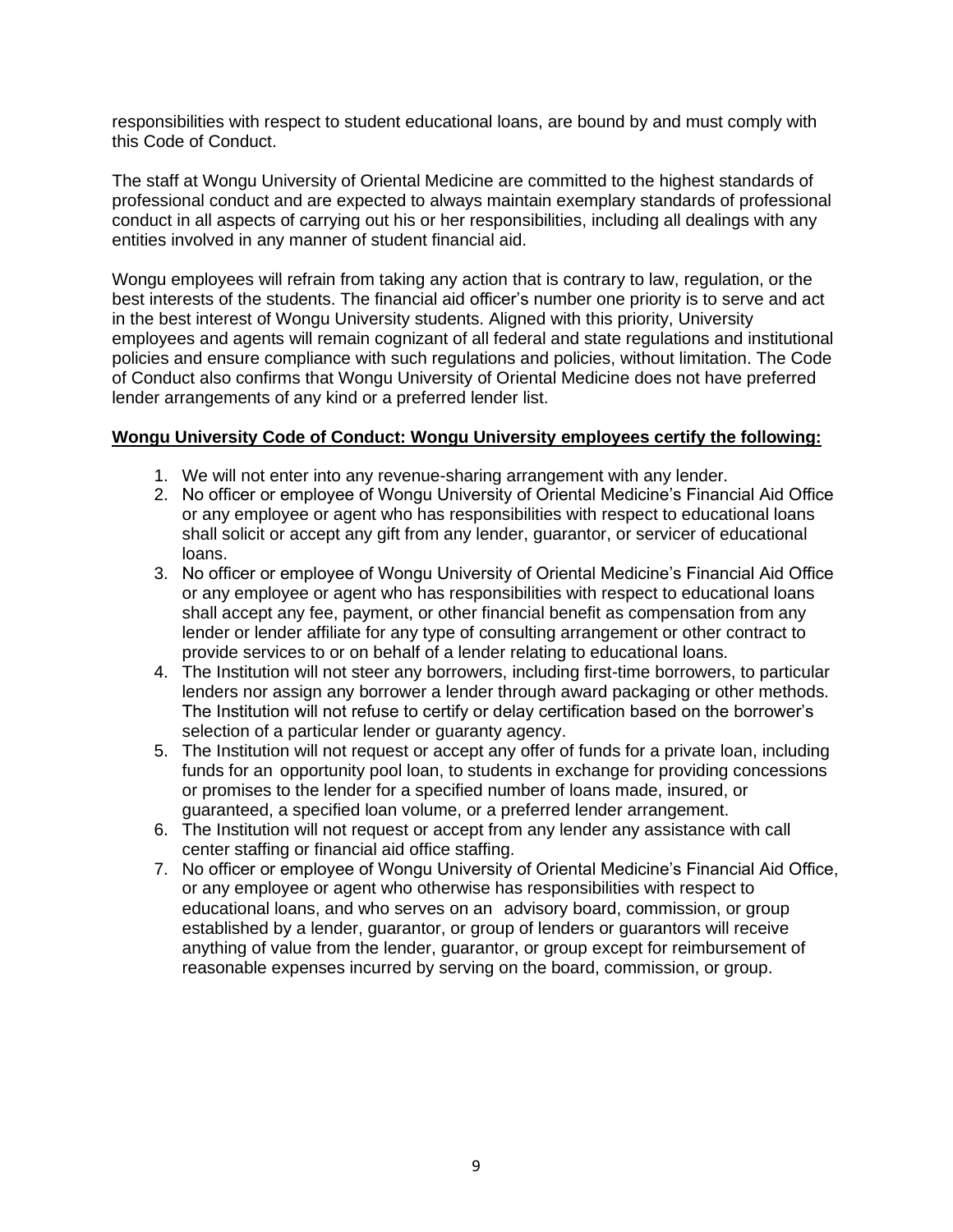responsibilities with respect to student educational loans, are bound by and must comply with this Code of Conduct.

The staff at Wongu University of Oriental Medicine are committed to the highest standards of professional conduct and are expected to always maintain exemplary standards of professional conduct in all aspects of carrying out his or her responsibilities, including all dealings with any entities involved in any manner of student financial aid.

Wongu employees will refrain from taking any action that is contrary to law, regulation, or the best interests of the students. The financial aid officer's number one priority is to serve and act in the best interest of Wongu University students. Aligned with this priority, University employees and agents will remain cognizant of all federal and state regulations and institutional policies and ensure compliance with such regulations and policies, without limitation. The Code of Conduct also confirms that Wongu University of Oriental Medicine does not have preferred lender arrangements of any kind or a preferred lender list.

#### **Wongu University Code of Conduct: Wongu University employees certify the following:**

- 1. We will not enter into any revenue-sharing arrangement with any lender.
- 2. No officer or employee of Wongu University of Oriental Medicine's Financial Aid Office or any employee or agent who has responsibilities with respect to educational loans shall solicit or accept any gift from any lender, guarantor, or servicer of educational loans.
- 3. No officer or employee of Wongu University of Oriental Medicine's Financial Aid Office or any employee or agent who has responsibilities with respect to educational loans shall accept any fee, payment, or other financial benefit as compensation from any lender or lender affiliate for any type of consulting arrangement or other contract to provide services to or on behalf of a lender relating to educational loans.
- 4. The Institution will not steer any borrowers, including first-time borrowers, to particular lenders nor assign any borrower a lender through award packaging or other methods. The Institution will not refuse to certify or delay certification based on the borrower's selection of a particular lender or guaranty agency.
- 5. The Institution will not request or accept any offer of funds for a private loan, including funds for an opportunity pool loan, to students in exchange for providing concessions or promises to the lender for a specified number of loans made, insured, or guaranteed, a specified loan volume, or a preferred lender arrangement.
- 6. The Institution will not request or accept from any lender any assistance with call center staffing or financial aid office staffing.
- 7. No officer or employee of Wongu University of Oriental Medicine's Financial Aid Office, or any employee or agent who otherwise has responsibilities with respect to educational loans, and who serves on an advisory board, commission, or group established by a lender, guarantor, or group of lenders or guarantors will receive anything of value from the lender, guarantor, or group except for reimbursement of reasonable expenses incurred by serving on the board, commission, or group.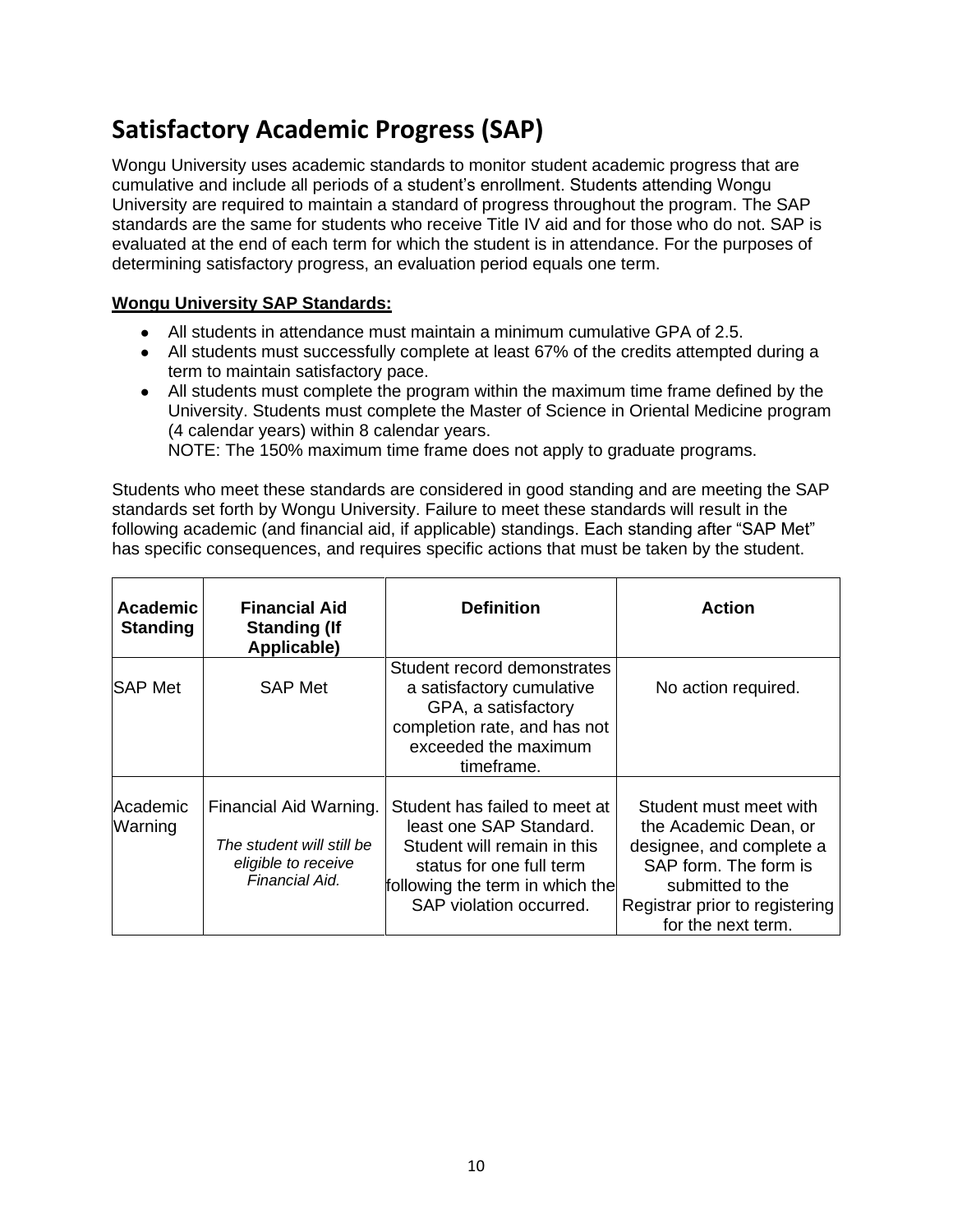### <span id="page-9-0"></span>**Satisfactory Academic Progress (SAP)**

Wongu University uses academic standards to monitor student academic progress that are cumulative and include all periods of a student's enrollment. Students attending Wongu University are required to maintain a standard of progress throughout the program. The SAP standards are the same for students who receive Title IV aid and for those who do not. SAP is evaluated at the end of each term for which the student is in attendance. For the purposes of determining satisfactory progress, an evaluation period equals one term.

#### **Wongu University SAP Standards:**

- All students in attendance must maintain a minimum cumulative GPA of 2.5.
- All students must successfully complete at least 67% of the credits attempted during a term to maintain satisfactory pace.
- All students must complete the program within the maximum time frame defined by the University. Students must complete the Master of Science in Oriental Medicine program (4 calendar years) within 8 calendar years. NOTE: The 150% maximum time frame does not apply to graduate programs.

Students who meet these standards are considered in good standing and are meeting the SAP standards set forth by Wongu University. Failure to meet these standards will result in the following academic (and financial aid, if applicable) standings. Each standing after "SAP Met" has specific consequences, and requires specific actions that must be taken by the student.

| <b>Academic</b><br><b>Standing</b> | <b>Financial Aid</b><br><b>Standing (If</b><br>Applicable)                                   | <b>Definition</b>                                                                                                                                                                 | Action                                                                                                                                                                           |
|------------------------------------|----------------------------------------------------------------------------------------------|-----------------------------------------------------------------------------------------------------------------------------------------------------------------------------------|----------------------------------------------------------------------------------------------------------------------------------------------------------------------------------|
| ISAP Met                           | <b>SAP Met</b>                                                                               | Student record demonstrates<br>a satisfactory cumulative<br>GPA, a satisfactory<br>completion rate, and has not<br>exceeded the maximum<br>timeframe.                             | No action required.                                                                                                                                                              |
| lAcademic<br>Warning               | Financial Aid Warning.<br>The student will still be<br>eligible to receive<br>Financial Aid. | Student has failed to meet at<br>least one SAP Standard.<br>Student will remain in this<br>status for one full term<br>following the term in which the<br>SAP violation occurred. | Student must meet with<br>the Academic Dean, or<br>designee, and complete a<br>SAP form. The form is<br>submitted to the<br>Registrar prior to registering<br>for the next term. |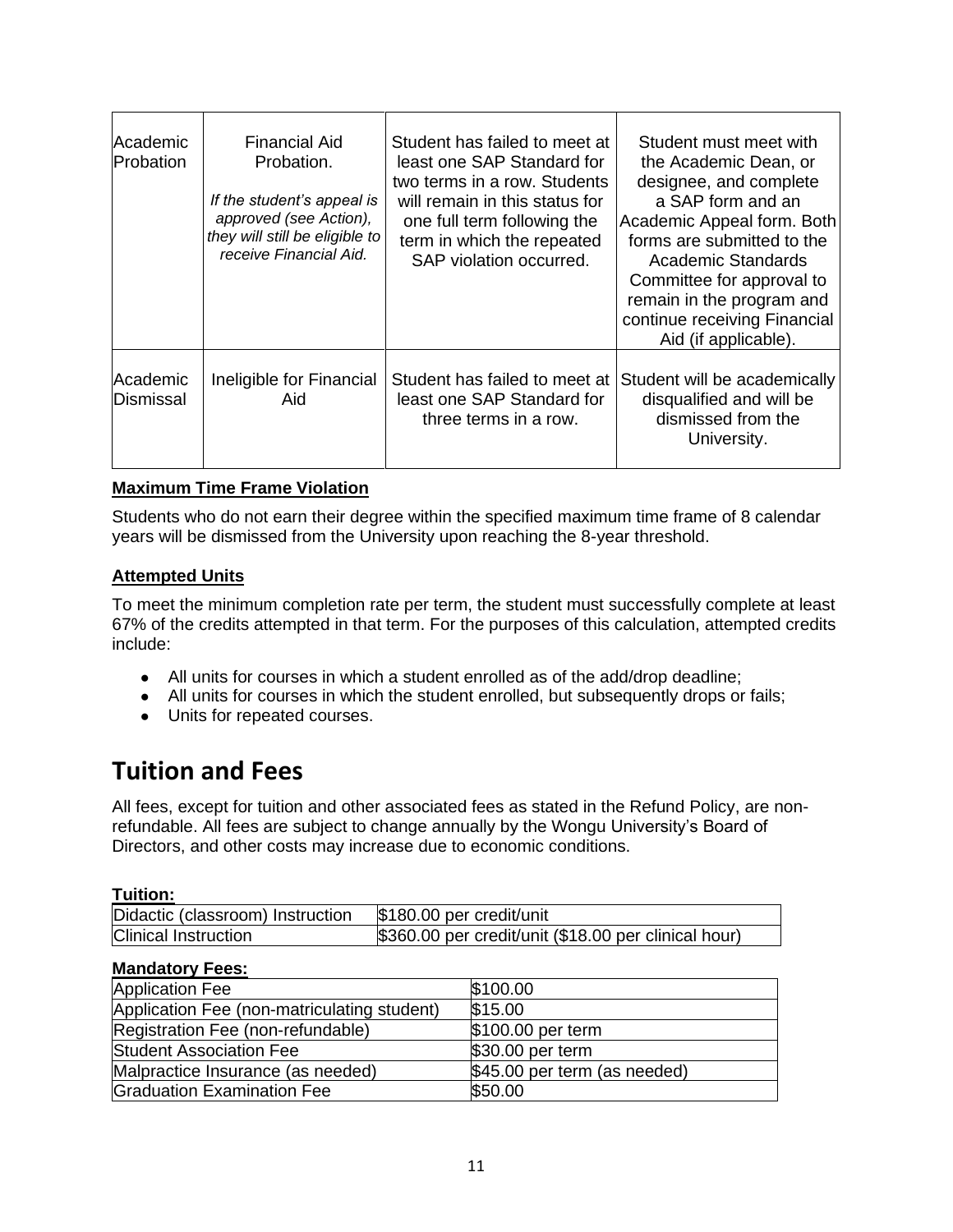| Academic<br>Probation | Financial Aid<br>Probation.<br>If the student's appeal is<br>approved (see Action),<br>they will still be eligible to<br>receive Financial Aid. | Student has failed to meet at<br>least one SAP Standard for<br>two terms in a row. Students<br>will remain in this status for<br>one full term following the<br>term in which the repeated<br>SAP violation occurred. | Student must meet with<br>the Academic Dean, or<br>designee, and complete<br>a SAP form and an<br>Academic Appeal form. Both<br>forms are submitted to the<br><b>Academic Standards</b><br>Committee for approval to<br>remain in the program and<br>continue receiving Financial<br>Aid (if applicable). |
|-----------------------|-------------------------------------------------------------------------------------------------------------------------------------------------|-----------------------------------------------------------------------------------------------------------------------------------------------------------------------------------------------------------------------|-----------------------------------------------------------------------------------------------------------------------------------------------------------------------------------------------------------------------------------------------------------------------------------------------------------|
| Academic<br>Dismissal | Ineligible for Financial<br>Aid                                                                                                                 | Student has failed to meet at<br>least one SAP Standard for<br>three terms in a row.                                                                                                                                  | Student will be academically<br>disqualified and will be<br>dismissed from the<br>University.                                                                                                                                                                                                             |

#### **Maximum Time Frame Violation**

Students who do not earn their degree within the specified maximum time frame of 8 calendar years will be dismissed from the University upon reaching the 8-year threshold.

#### **Attempted Units**

To meet the minimum completion rate per term, the student must successfully complete at least 67% of the credits attempted in that term. For the purposes of this calculation, attempted credits include:

- All units for courses in which a student enrolled as of the add/drop deadline;
- All units for courses in which the student enrolled, but subsequently drops or fails;
- Units for repeated courses.

### <span id="page-10-0"></span>**Tuition and Fees**

All fees, except for tuition and other associated fees as stated in the Refund Policy, are nonrefundable. All fees are subject to change annually by the Wongu University's Board of Directors, and other costs may increase due to economic conditions.

#### **Tuition:**

| Didactic (classroom) Instruction | \$180.00 per credit/unit                             |
|----------------------------------|------------------------------------------------------|
| <b>Clinical Instruction</b>      | \$360.00 per credit/unit (\$18.00 per clinical hour) |

#### **Mandatory Fees:**

| <b>Application Fee</b>                      | \$100.00                     |
|---------------------------------------------|------------------------------|
| Application Fee (non-matriculating student) | \$15.00                      |
| Registration Fee (non-refundable)           | \$100.00 per term            |
| <b>Student Association Fee</b>              | \$30.00 per term             |
| Malpractice Insurance (as needed)           | \$45.00 per term (as needed) |
| Graduation Examination Fee                  | \$50.00                      |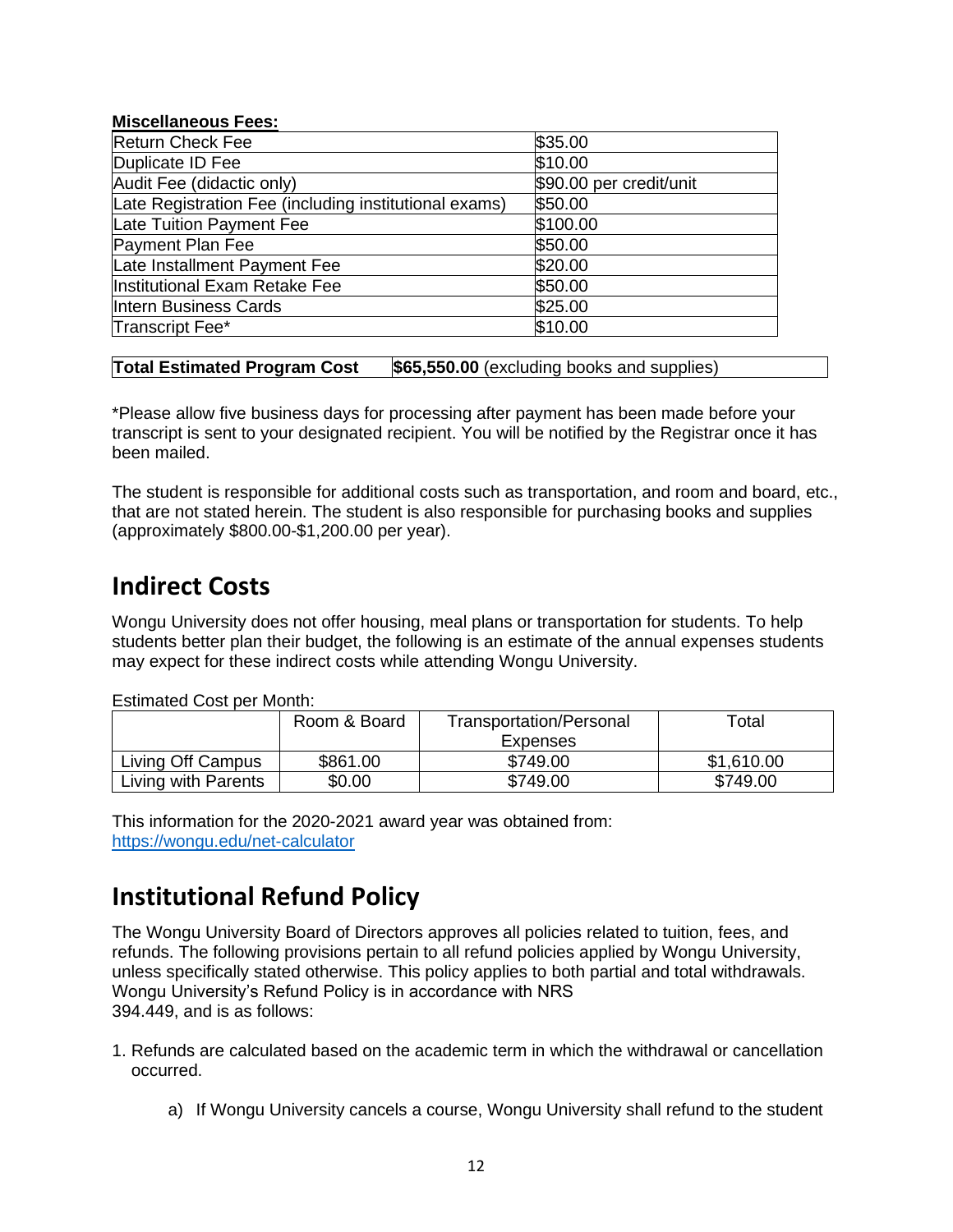#### **Miscellaneous Fees:**

| <b>Return Check Fee</b>                               | \$35.00                 |
|-------------------------------------------------------|-------------------------|
| Duplicate ID Fee                                      | \$10.00                 |
| Audit Fee (didactic only)                             | \$90.00 per credit/unit |
| Late Registration Fee (including institutional exams) | \$50.00                 |
| Late Tuition Payment Fee                              | \$100.00                |
| Payment Plan Fee                                      | \$50.00                 |
| Late Installment Payment Fee                          | \$20.00                 |
| Institutional Exam Retake Fee                         | \$50.00                 |
| Intern Business Cards                                 | \$25.00                 |
| Transcript Fee*                                       | \$10.00                 |

#### **Total Estimated Program Cost** \$65,550.00 (excluding books and supplies)

\*Please allow five business days for processing after payment has been made before your transcript is sent to your designated recipient. You will be notified by the Registrar once it has been mailed.

The student is responsible for additional costs such as transportation, and room and board, etc., that are not stated herein. The student is also responsible for purchasing books and supplies (approximately \$800.00-\$1,200.00 per year).

### <span id="page-11-0"></span>**Indirect Costs**

Wongu University does not offer housing, meal plans or transportation for students. To help students better plan their budget, the following is an estimate of the annual expenses students may expect for these indirect costs while attending Wongu University.

| <b>Estimated Cost per Month:</b> |  |
|----------------------------------|--|
|----------------------------------|--|

|                     | Room & Board | Transportation/Personal | Total      |
|---------------------|--------------|-------------------------|------------|
|                     |              | Expenses                |            |
| Living Off Campus   | \$861.00     | \$749.00                | \$1,610.00 |
| Living with Parents | \$0.00       | \$749.00                | \$749.00   |

This information for the 2020-2021 award year was obtained from: <https://wongu.edu/net-calculator>

### <span id="page-11-1"></span>**Institutional Refund Policy**

The Wongu University Board of Directors approves all policies related to tuition, fees, and refunds. The following provisions pertain to all refund policies applied by Wongu University, unless specifically stated otherwise. This policy applies to both partial and total withdrawals. Wongu University's Refund Policy is in accordance with NRS 394.449, and is as follows:

- 1. Refunds are calculated based on the academic term in which the withdrawal or cancellation occurred.
	- a) If Wongu University cancels a course, Wongu University shall refund to the student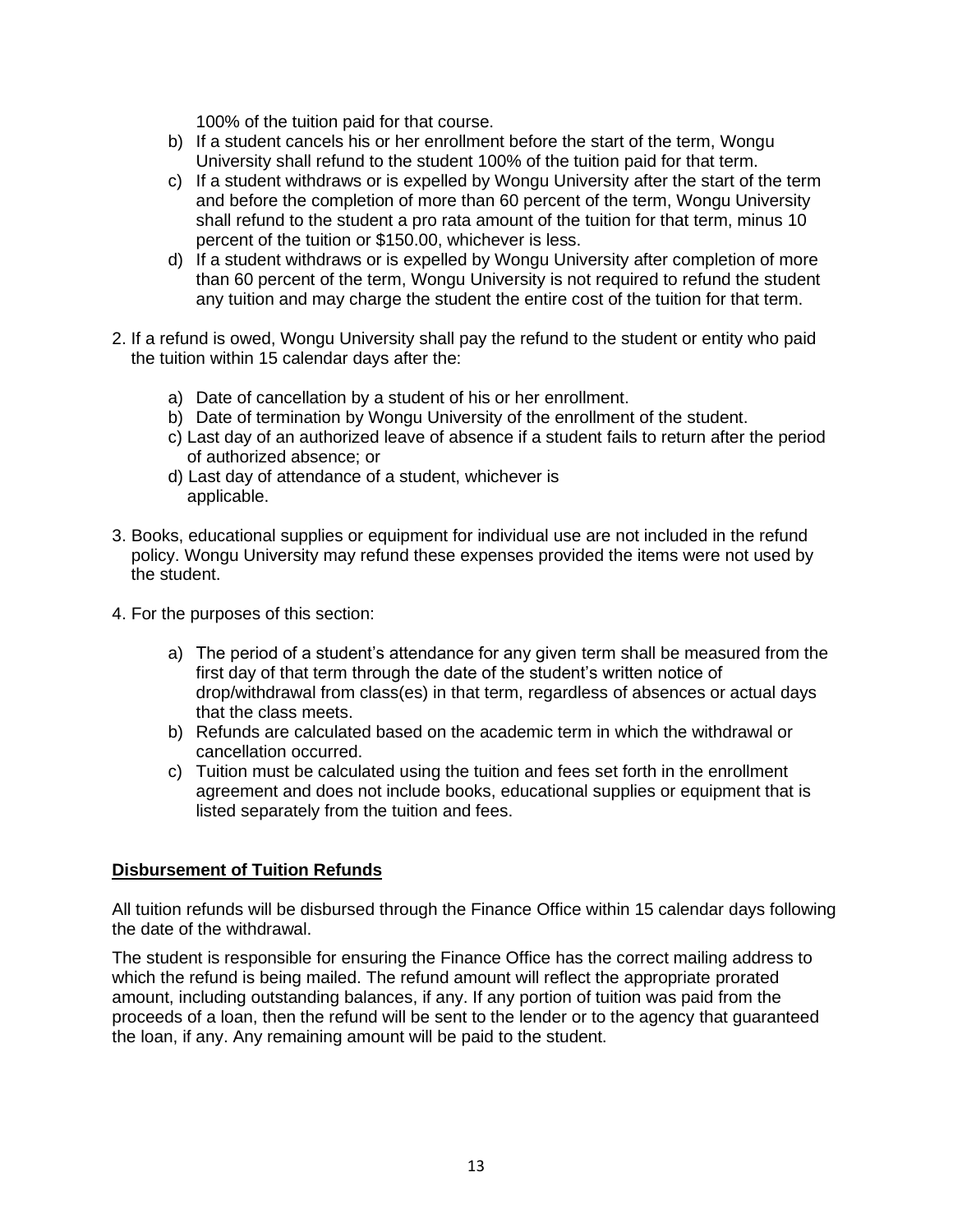100% of the tuition paid for that course.

- b) If a student cancels his or her enrollment before the start of the term, Wongu University shall refund to the student 100% of the tuition paid for that term.
- c) If a student withdraws or is expelled by Wongu University after the start of the term and before the completion of more than 60 percent of the term, Wongu University shall refund to the student a pro rata amount of the tuition for that term, minus 10 percent of the tuition or \$150.00, whichever is less.
- d) If a student withdraws or is expelled by Wongu University after completion of more than 60 percent of the term, Wongu University is not required to refund the student any tuition and may charge the student the entire cost of the tuition for that term.
- 2. If a refund is owed, Wongu University shall pay the refund to the student or entity who paid the tuition within 15 calendar days after the:
	- a) Date of cancellation by a student of his or her enrollment.
	- b) Date of termination by Wongu University of the enrollment of the student.
	- c) Last day of an authorized leave of absence if a student fails to return after the period of authorized absence; or
	- d) Last day of attendance of a student, whichever is applicable.
- 3. Books, educational supplies or equipment for individual use are not included in the refund policy. Wongu University may refund these expenses provided the items were not used by the student.
- 4. For the purposes of this section:
	- a) The period of a student's attendance for any given term shall be measured from the first day of that term through the date of the student's written notice of drop/withdrawal from class(es) in that term, regardless of absences or actual days that the class meets.
	- b) Refunds are calculated based on the academic term in which the withdrawal or cancellation occurred.
	- c) Tuition must be calculated using the tuition and fees set forth in the enrollment agreement and does not include books, educational supplies or equipment that is listed separately from the tuition and fees.

#### **Disbursement of Tuition Refunds**

All tuition refunds will be disbursed through the Finance Office within 15 calendar days following the date of the withdrawal.

The student is responsible for ensuring the Finance Office has the correct mailing address to which the refund is being mailed. The refund amount will reflect the appropriate prorated amount, including outstanding balances, if any. If any portion of tuition was paid from the proceeds of a loan, then the refund will be sent to the lender or to the agency that guaranteed the loan, if any. Any remaining amount will be paid to the student.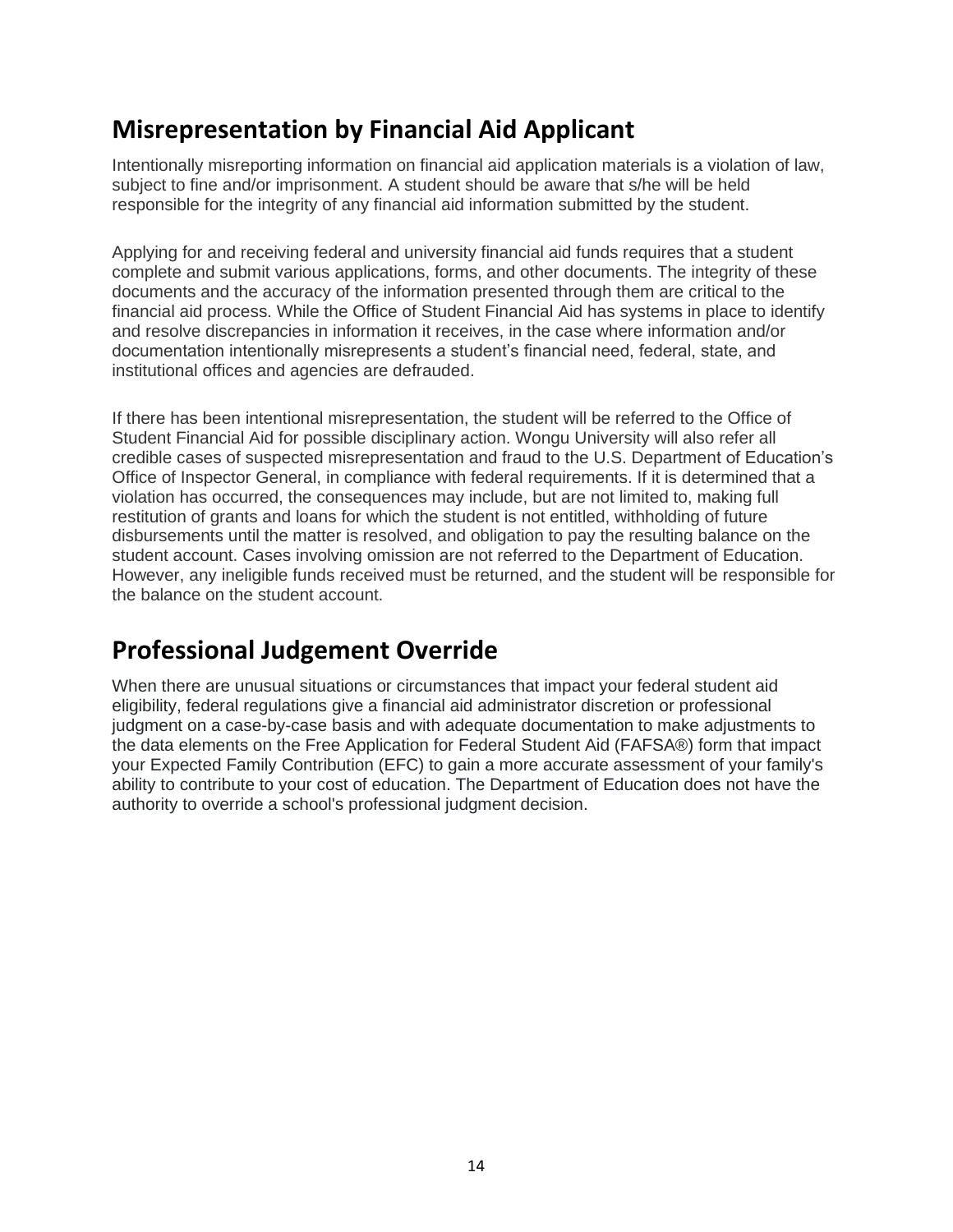### <span id="page-13-0"></span>**Misrepresentation by Financial Aid Applicant**

Intentionally misreporting information on financial aid application materials is a violation of law, subject to fine and/or imprisonment. A student should be aware that s/he will be held responsible for the integrity of any financial aid information submitted by the student.

Applying for and receiving federal and university financial aid funds requires that a student complete and submit various applications, forms, and other documents. The integrity of these documents and the accuracy of the information presented through them are critical to the financial aid process. While the Office of Student Financial Aid has systems in place to identify and resolve discrepancies in information it receives, in the case where information and/or documentation intentionally misrepresents a student's financial need, federal, state, and institutional offices and agencies are defrauded.

If there has been intentional misrepresentation, the student will be referred to the Office of Student Financial Aid for possible disciplinary action. Wongu University will also refer all credible cases of suspected misrepresentation and fraud to the U.S. Department of Education's Office of Inspector General, in compliance with federal requirements. If it is determined that a violation has occurred, the consequences may include, but are not limited to, making full restitution of grants and loans for which the student is not entitled, withholding of future disbursements until the matter is resolved, and obligation to pay the resulting balance on the student account. Cases involving omission are not referred to the Department of Education. However, any ineligible funds received must be returned, and the student will be responsible for the balance on the student account.

### <span id="page-13-1"></span>**Professional Judgement Override**

<span id="page-13-2"></span>When there are unusual situations or circumstances that impact your federal student aid eligibility, federal regulations give a financial aid administrator discretion or professional judgment on a case-by-case basis and with adequate documentation to make adjustments to the data elements on the Free Application for Federal Student Aid (FAFSA®) form that impact your Expected Family Contribution (EFC) to gain a more accurate assessment of your family's ability to contribute to your cost of education. The Department of Education does not have the authority to override a school's professional judgment decision.